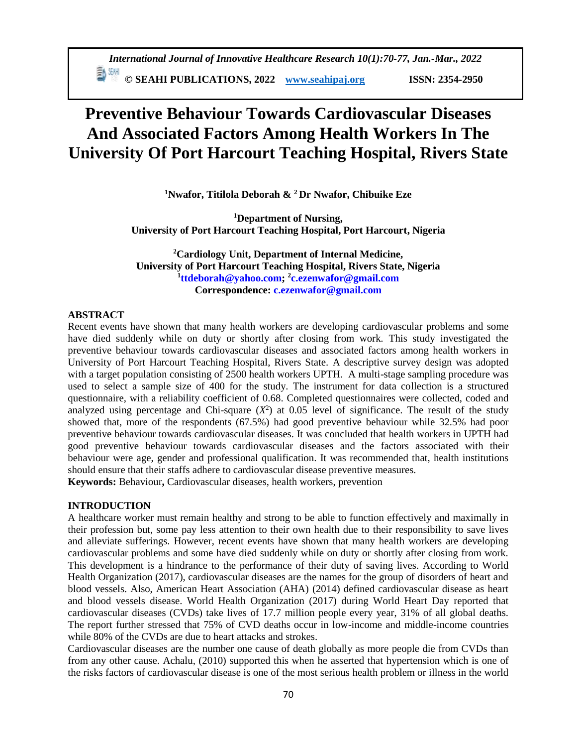**ED SEARI PUBLICATIONS, 2022** *[www.seahipaj.org](http://www.seahipaj.org/)* **ISSN: 2354-2950** 

# **Preventive Behaviour Towards Cardiovascular Diseases And Associated Factors Among Health Workers In The University Of Port Harcourt Teaching Hospital, Rivers State**

**<sup>1</sup>Nwafor, Titilola Deborah & <sup>2</sup>Dr Nwafor, Chibuike Eze**

**<sup>1</sup>Department of Nursing, University of Port Harcourt Teaching Hospital, Port Harcourt, Nigeria**

**<sup>2</sup>Cardiology Unit, Department of Internal Medicine, University of Port Harcourt Teaching Hospital, Rivers State, Nigeria 1 [ttdeborah@yahoo.com;](mailto:ttdeborah@yahoo.com) <sup>2</sup> [c.ezenwafor@gmail.com](mailto:c.ezenwafor@gmail.com) Correspondence: [c.ezenwafor@gmail.com](mailto:c.ezenwafor@gmail.com)**

#### **ABSTRACT**

Recent events have shown that many health workers are developing cardiovascular problems and some have died suddenly while on duty or shortly after closing from work. This study investigated the preventive behaviour towards cardiovascular diseases and associated factors among health workers in University of Port Harcourt Teaching Hospital, Rivers State. A descriptive survey design was adopted with a target population consisting of 2500 health workers UPTH. A multi-stage sampling procedure was used to select a sample size of 400 for the study. The instrument for data collection is a structured questionnaire, with a reliability coefficient of 0.68. Completed questionnaires were collected, coded and analyzed using percentage and Chi-square  $(X^2)$  at 0.05 level of significance. The result of the study showed that, more of the respondents (67.5%) had good preventive behaviour while 32.5% had poor preventive behaviour towards cardiovascular diseases. It was concluded that health workers in UPTH had good preventive behaviour towards cardiovascular diseases and the factors associated with their behaviour were age, gender and professional qualification. It was recommended that, health institutions should ensure that their staffs adhere to cardiovascular disease preventive measures.

**Keywords:** Behaviour**,** Cardiovascular diseases, health workers, prevention

## **INTRODUCTION**

A healthcare worker must remain healthy and strong to be able to function effectively and maximally in their profession but, some pay less attention to their own health due to their responsibility to save lives and alleviate sufferings. However, recent events have shown that many health workers are developing cardiovascular problems and some have died suddenly while on duty or shortly after closing from work. This development is a hindrance to the performance of their duty of saving lives. According to World Health Organization (2017), cardiovascular diseases are the names for the group of disorders of heart and blood vessels. Also, American Heart Association (AHA) (2014) defined cardiovascular disease as heart and blood vessels disease. World Health Organization (2017) during World Heart Day reported that cardiovascular diseases (CVDs) take lives of 17.7 million people every year, 31% of all global deaths. The report further stressed that 75% of CVD deaths occur in low-income and middle-income countries while 80% of the CVDs are due to heart attacks and strokes.

Cardiovascular diseases are the number one cause of death globally as more people die from CVDs than from any other cause. Achalu, (2010) supported this when he asserted that hypertension which is one of the risks factors of cardiovascular disease is one of the most serious health problem or illness in the world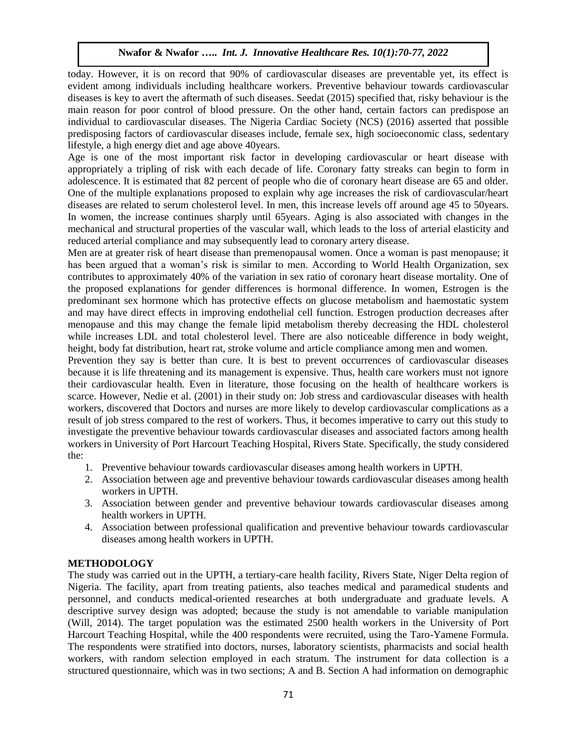today. However, it is on record that 90% of cardiovascular diseases are preventable yet, its effect is evident among individuals including healthcare workers. Preventive behaviour towards cardiovascular diseases is key to avert the aftermath of such diseases. Seedat (2015) specified that, risky behaviour is the main reason for poor control of blood pressure. On the other hand, certain factors can predispose an individual to cardiovascular diseases. The Nigeria Cardiac Society (NCS) (2016) asserted that possible predisposing factors of cardiovascular diseases include, female sex, high socioeconomic class, sedentary lifestyle, a high energy diet and age above 40years.

Age is one of the most important risk factor in developing cardiovascular or heart disease with appropriately a tripling of risk with each decade of life. Coronary fatty streaks can begin to form in adolescence. It is estimated that 82 percent of people who die of coronary heart disease are 65 and older. One of the multiple explanations proposed to explain why age increases the risk of cardiovascular/heart diseases are related to serum cholesterol level. In men, this increase levels off around age 45 to 50years. In women, the increase continues sharply until 65years. Aging is also associated with changes in the mechanical and structural properties of the vascular wall, which leads to the loss of arterial elasticity and reduced arterial compliance and may subsequently lead to coronary artery disease.

Men are at greater risk of heart disease than premenopausal women. Once a woman is past menopause; it has been argued that a woman's risk is similar to men. According to World Health Organization, sex contributes to approximately 40% of the variation in sex ratio of coronary heart disease mortality. One of the proposed explanations for gender differences is hormonal difference. In women, Estrogen is the predominant sex hormone which has protective effects on glucose metabolism and haemostatic system and may have direct effects in improving endothelial cell function. Estrogen production decreases after menopause and this may change the female lipid metabolism thereby decreasing the HDL cholesterol while increases LDL and total cholesterol level. There are also noticeable difference in body weight, height, body fat distribution, heart rat, stroke volume and article compliance among men and women.

Prevention they say is better than cure. It is best to prevent occurrences of cardiovascular diseases because it is life threatening and its management is expensive. Thus, health care workers must not ignore their cardiovascular health. Even in literature, those focusing on the health of healthcare workers is scarce. However, Nedie et al. (2001) in their study on: Job stress and cardiovascular diseases with health workers, discovered that Doctors and nurses are more likely to develop cardiovascular complications as a result of job stress compared to the rest of workers. Thus, it becomes imperative to carry out this study to investigate the preventive behaviour towards cardiovascular diseases and associated factors among health workers in University of Port Harcourt Teaching Hospital, Rivers State. Specifically, the study considered the:

- 1. Preventive behaviour towards cardiovascular diseases among health workers in UPTH.
- 2. Association between age and preventive behaviour towards cardiovascular diseases among health workers in UPTH.
- 3. Association between gender and preventive behaviour towards cardiovascular diseases among health workers in UPTH.
- 4. Association between professional qualification and preventive behaviour towards cardiovascular diseases among health workers in UPTH.

# **METHODOLOGY**

The study was carried out in the UPTH, a tertiary-care health facility, Rivers State, Niger Delta region of Nigeria. The facility, apart from treating patients, also teaches medical and paramedical students and personnel, and conducts medical-oriented researches at both undergraduate and graduate levels. A descriptive survey design was adopted; because the study is not amendable to variable manipulation (Will, 2014). The target population was the estimated 2500 health workers in the University of Port Harcourt Teaching Hospital, while the 400 respondents were recruited, using the Taro-Yamene Formula. The respondents were stratified into doctors, nurses, laboratory scientists, pharmacists and social health workers, with random selection employed in each stratum. The instrument for data collection is a structured questionnaire, which was in two sections; A and B. Section A had information on demographic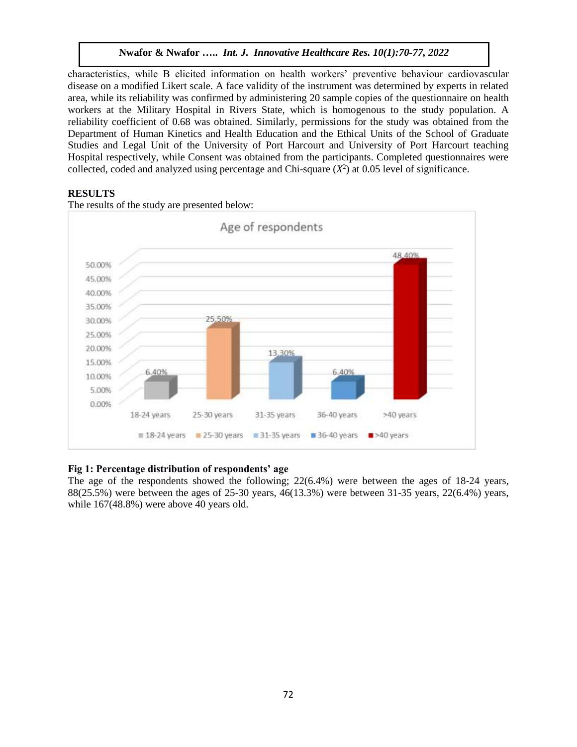characteristics, while B elicited information on health workers' preventive behaviour cardiovascular disease on a modified Likert scale. A face validity of the instrument was determined by experts in related area, while its reliability was confirmed by administering 20 sample copies of the questionnaire on health workers at the Military Hospital in Rivers State, which is homogenous to the study population. A reliability coefficient of 0.68 was obtained. Similarly, permissions for the study was obtained from the Department of Human Kinetics and Health Education and the Ethical Units of the School of Graduate Studies and Legal Unit of the University of Port Harcourt and University of Port Harcourt teaching Hospital respectively, while Consent was obtained from the participants. Completed questionnaires were collected, coded and analyzed using percentage and Chi-square  $(X^2)$  at 0.05 level of significance.

# **RESULTS**



The results of the study are presented below:

# **Fig 1: Percentage distribution of respondents' age**

The age of the respondents showed the following; 22(6.4%) were between the ages of 18-24 years, 88(25.5%) were between the ages of 25-30 years, 46(13.3%) were between 31-35 years, 22(6.4%) years, while 167(48.8%) were above 40 years old.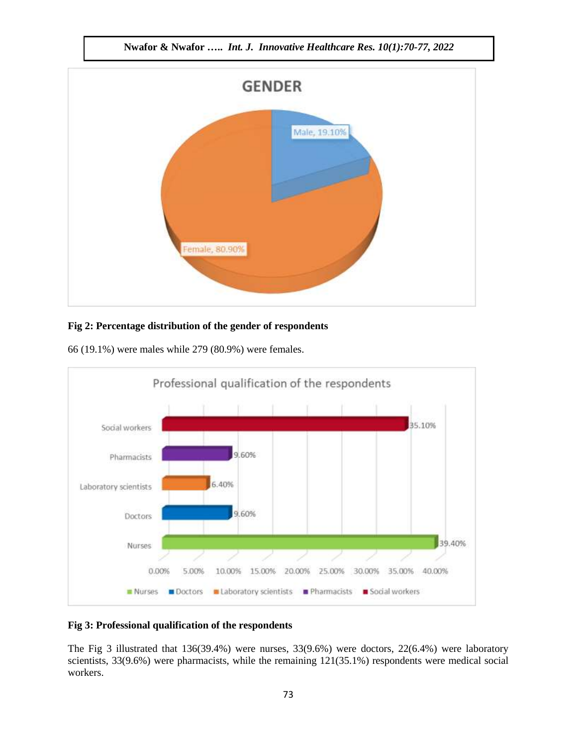**Nwafor & Nwafor …..** *Int. J. Innovative Healthcare Res. 10(1):70-77, 2022*



# **Fig 2: Percentage distribution of the gender of respondents**

66 (19.1%) were males while 279 (80.9%) were females.



### **Fig 3: Professional qualification of the respondents**

The Fig 3 illustrated that 136(39.4%) were nurses, 33(9.6%) were doctors, 22(6.4%) were laboratory scientists, 33(9.6%) were pharmacists, while the remaining 121(35.1%) respondents were medical social workers.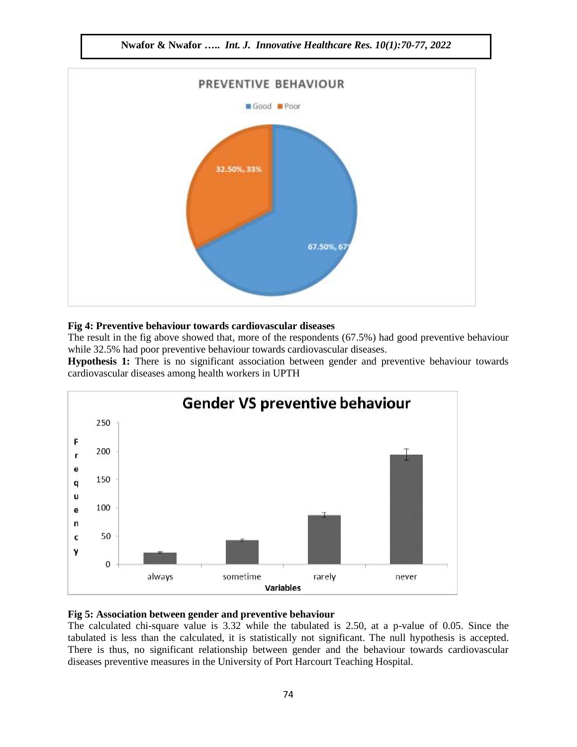

#### **Fig 4: Preventive behaviour towards cardiovascular diseases**

The result in the fig above showed that, more of the respondents (67.5%) had good preventive behaviour while 32.5% had poor preventive behaviour towards cardiovascular diseases.

**Hypothesis 1:** There is no significant association between gender and preventive behaviour towards cardiovascular diseases among health workers in UPTH



### **Fig 5: Association between gender and preventive behaviour**

The calculated chi-square value is 3.32 while the tabulated is 2.50, at a p-value of 0.05. Since the tabulated is less than the calculated, it is statistically not significant. The null hypothesis is accepted. There is thus, no significant relationship between gender and the behaviour towards cardiovascular diseases preventive measures in the University of Port Harcourt Teaching Hospital.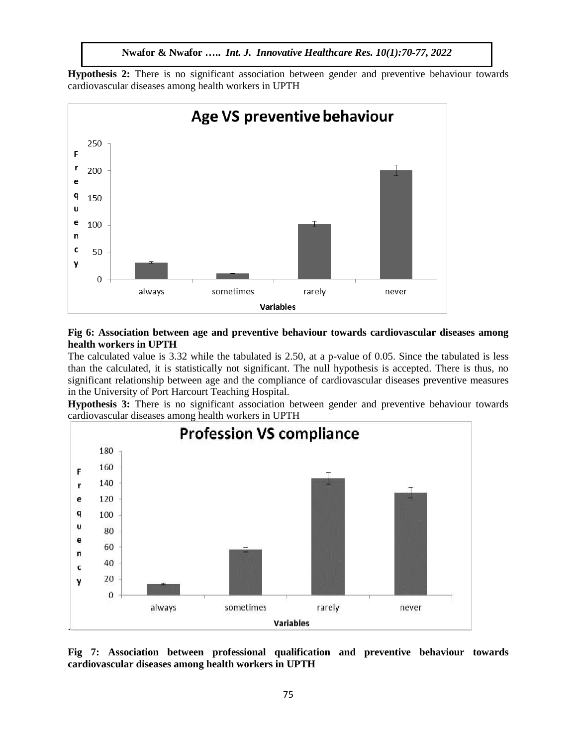**Nwafor & Nwafor …..** *Int. J. Innovative Healthcare Res. 10(1):70-77, 2022*

**Hypothesis 2:** There is no significant association between gender and preventive behaviour towards cardiovascular diseases among health workers in UPTH



## **Fig 6: Association between age and preventive behaviour towards cardiovascular diseases among health workers in UPTH**

The calculated value is 3.32 while the tabulated is 2.50, at a p-value of 0.05. Since the tabulated is less than the calculated, it is statistically not significant. The null hypothesis is accepted. There is thus, no significant relationship between age and the compliance of cardiovascular diseases preventive measures in the University of Port Harcourt Teaching Hospital.

**Hypothesis 3:** There is no significant association between gender and preventive behaviour towards cardiovascular diseases among health workers in UPTH



**Fig 7: Association between professional qualification and preventive behaviour towards cardiovascular diseases among health workers in UPTH**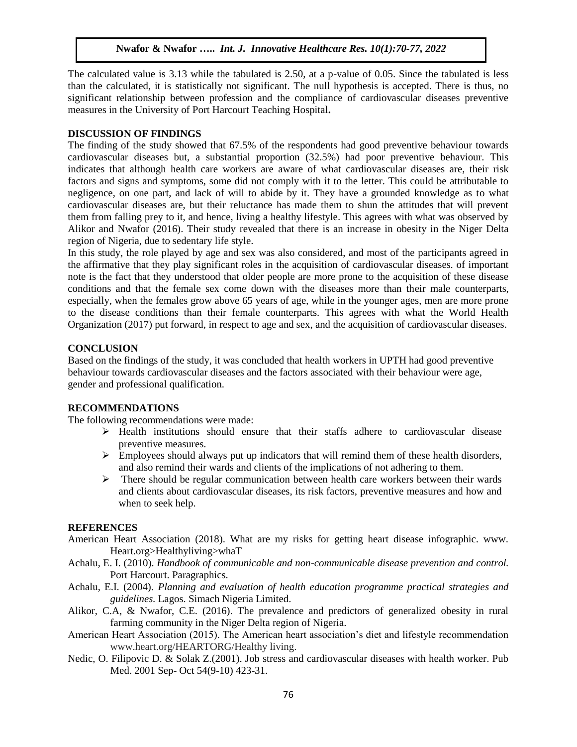The calculated value is 3.13 while the tabulated is 2.50, at a p-value of 0.05. Since the tabulated is less than the calculated, it is statistically not significant. The null hypothesis is accepted. There is thus, no significant relationship between profession and the compliance of cardiovascular diseases preventive measures in the University of Port Harcourt Teaching Hospital**.**

### **DISCUSSION OF FINDINGS**

The finding of the study showed that 67.5% of the respondents had good preventive behaviour towards cardiovascular diseases but, a substantial proportion (32.5%) had poor preventive behaviour. This indicates that although health care workers are aware of what cardiovascular diseases are, their risk factors and signs and symptoms, some did not comply with it to the letter. This could be attributable to negligence, on one part, and lack of will to abide by it. They have a grounded knowledge as to what cardiovascular diseases are, but their reluctance has made them to shun the attitudes that will prevent them from falling prey to it, and hence, living a healthy lifestyle. This agrees with what was observed by Alikor and Nwafor (2016). Their study revealed that there is an increase in obesity in the Niger Delta region of Nigeria, due to sedentary life style.

In this study, the role played by age and sex was also considered, and most of the participants agreed in the affirmative that they play significant roles in the acquisition of cardiovascular diseases. of important note is the fact that they understood that older people are more prone to the acquisition of these disease conditions and that the female sex come down with the diseases more than their male counterparts, especially, when the females grow above 65 years of age, while in the younger ages, men are more prone to the disease conditions than their female counterparts. This agrees with what the World Health Organization (2017) put forward, in respect to age and sex, and the acquisition of cardiovascular diseases.

### **CONCLUSION**

Based on the findings of the study, it was concluded that health workers in UPTH had good preventive behaviour towards cardiovascular diseases and the factors associated with their behaviour were age, gender and professional qualification.

## **RECOMMENDATIONS**

The following recommendations were made:

- $\triangleright$  Health institutions should ensure that their staffs adhere to cardiovascular disease preventive measures.
- $\triangleright$  Employees should always put up indicators that will remind them of these health disorders, and also remind their wards and clients of the implications of not adhering to them.
- $\triangleright$  There should be regular communication between health care workers between their wards and clients about cardiovascular diseases, its risk factors, preventive measures and how and when to seek help.

#### **REFERENCES**

- American Heart Association (2018). What are my risks for getting heart disease infographic. www. Heart.org>Healthyliving>whaT
- Achalu, E. I. (2010). *Handbook of communicable and non-communicable disease prevention and control.* Port Harcourt. Paragraphics.
- Achalu, E.I. (2004). *Planning and evaluation of health education programme practical strategies and guidelines.* Lagos. Simach Nigeria Limited.
- Alikor, C.A, & Nwafor, C.E. (2016). The prevalence and predictors of generalized obesity in rural farming community in the Niger Delta region of Nigeria.
- American Heart Association (2015). The American heart association's diet and lifestyle recommendation [www.heart.org/HEARTORG/Healthy living.](http://www.heart.org/HEARTORG/Healthy%20living)
- Nedic, O. Filipovic D. & Solak Z.(2001). Job stress and cardiovascular diseases with health worker. Pub Med. 2001 Sep- Oct 54(9-10) 423-31.